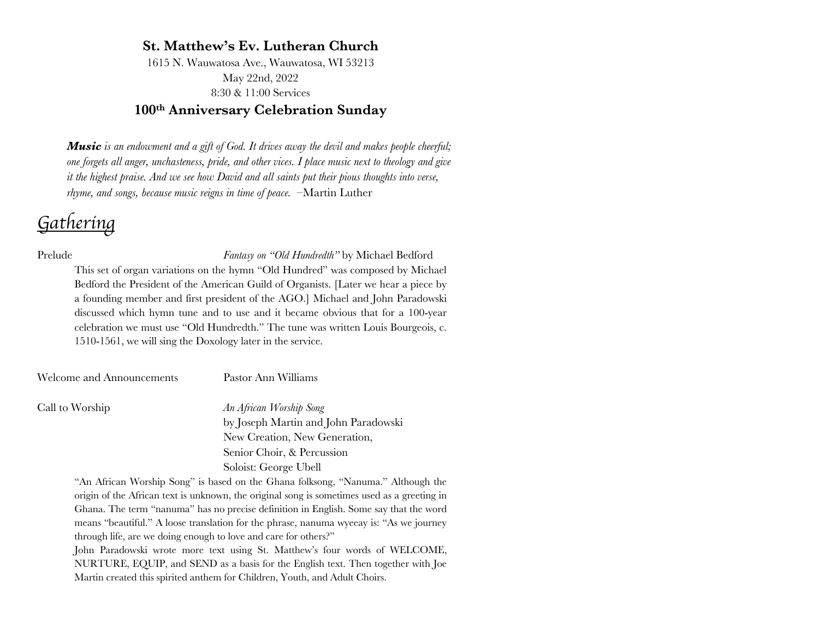# **St. Matthew's Ev. Lutheran Church**

1615 N. Wauwatosa Ave., Wauwatosa, WI 53213 May 22nd, 2022 8:30 & 11:00 Services

# **100th Anniversary Celebration Sunday**

*Music is an endowment and a gift of God. It drives away the devil and makes people cheerful; one forgets all anger, unchasteness, pride, and other vices. I place music next to theology and give it the highest praise. And we see how David and all saints put their pious thoughts into verse, rhyme, and songs, because music reigns in time of peace. –*Martin Luther

# *Gathering*

Prelude *Fantasy on "Old Hundredth"* by Michael Bedford This set of organ variations on the hymn "Old Hundred" was composed by Michael Bedford the President of the American Guild of Organists. [Later we hear a piece by a founding member and first president of the AGO.] Michael and John Paradowski discussed which hymn tune and to use and it became obvious that for a 100-year celebration we must use "Old Hundredth." The tune was written Louis Bourgeois, c. 1510-1561, we will sing the Doxology later in the service.

Welcome and Announcements Pastor Ann Williams

Call to Worship *An African Worship Song* by Joseph Martin and John Paradowski New Creation, New Generation, Senior Choir, & Percussion Soloist: George Ubell

> "An African Worship Song" is based on the Ghana folksong, "Nanuma." Although the origin of the African text is unknown, the original song is sometimes used as a greeting in Ghana. The term "nanuma" has no precise definition in English. Some say that the word means "beautiful." A loose translation for the phrase, nanuma wyeeay is: "As we journey through life, are we doing enough to love and care for others?"

> John Paradowski wrote more text using St. Matthew's four words of WELCOME, NURTURE, EQUIP, and SEND as a basis for the English text. Then together with Joe Martin created this spirited anthem for Children, Youth, and Adult Choirs.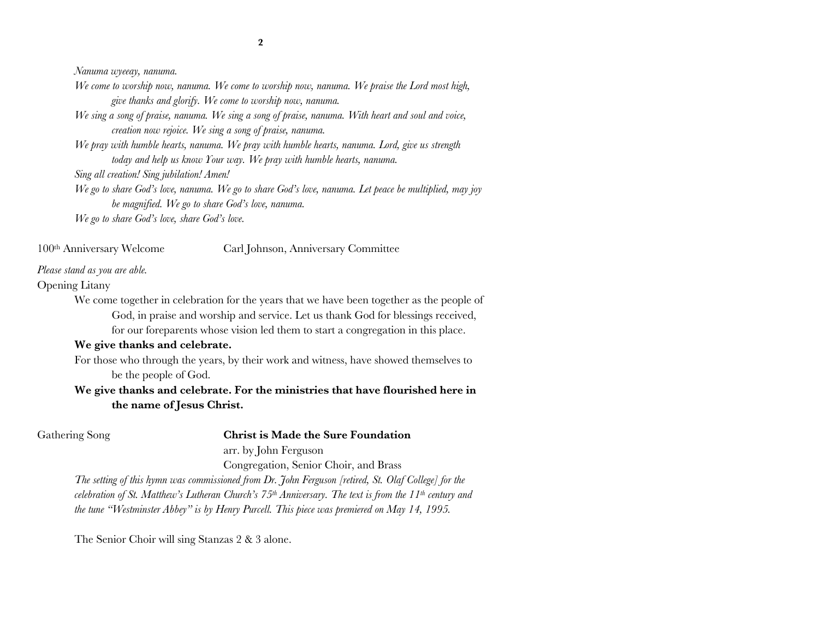*Nanuma wyeeay, nanuma.*

*We come to worship now, nanuma. We come to worship now, nanuma. We praise the Lord most high, give thanks and glorify. We come to worship now, nanuma.*

*We sing a song of praise, nanuma. We sing a song of praise, nanuma. With heart and soul and voice, creation now rejoice. We sing a song of praise, nanuma.*

*We pray with humble hearts, nanuma. We pray with humble hearts, nanuma. Lord, give us strength today and help us know Your way. We pray with humble hearts, nanuma.*

*Sing all creation! Sing jubilation! Amen!*

*We go to share God's love, nanuma. We go to share God's love, nanuma. Let peace be multiplied, may joy be magnified. We go to share God's love, nanuma.*

*We go to share God's love, share God's love.*

100th Anniversary Welcome Carl Johnson, Anniversary Committee

### *Please stand as you are able.*

Opening Litany

We come together in celebration for the years that we have been together as the people of God, in praise and worship and service. Let us thank God for blessings received, for our foreparents whose vision led them to start a congregation in this place.

### **We give thanks and celebrate.**

For those who through the years, by their work and witness, have showed themselves to be the people of God.

## **We give thanks and celebrate. For the ministries that have flourished here in the name of Jesus Christ.**

### Gathering Song **Christ is Made the Sure Foundation**

arr. by John Ferguson

Congregation, Senior Choir, and Brass

*The setting of this hymn was commissioned from Dr. John Ferguson [retired, St. Olaf College] for the celebration of St. Matthew's Lutheran Church's 75th Anniversary. The text is from the 11th century and the tune "Westminster Abbey" is by Henry Purcell. This piece was premiered on May 14, 1995.*

The Senior Choir will sing Stanzas 2 & 3 alone.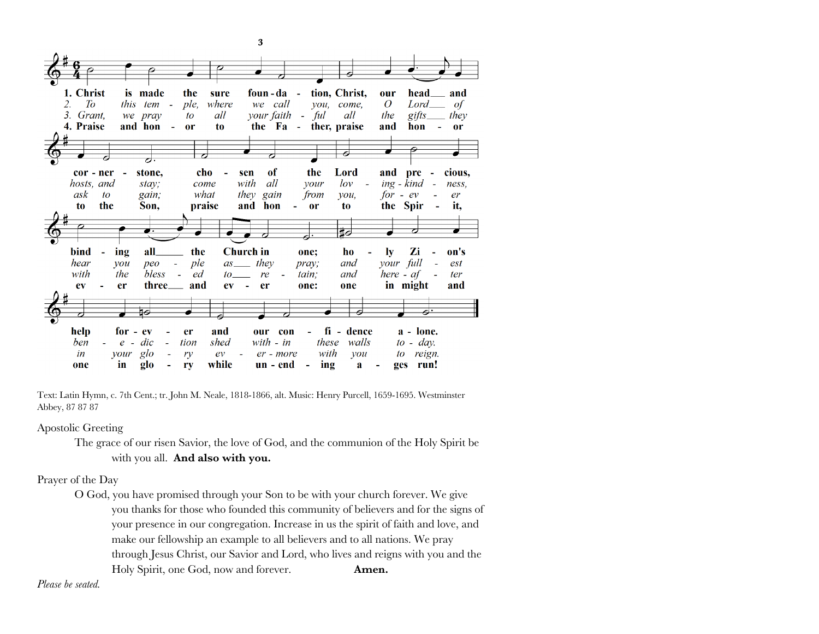

Text: Latin Hymn, c. 7th Cent.; tr. John M. Neale, 1818-1866, alt. Music: Henry Purcell, 1659-1695. Westminster Abbey, 87 87 87

Apostolic Greeting

The grace of our risen Savior, the love of God, and the communion of the Holy Spirit be with you all. **And also with you.**

### Prayer of the Day

O God, you have promised through your Son to be with your church forever. We give you thanks for those who founded this community of believers and for the signs of your presence in our congregation. Increase in us the spirit of faith and love, and make our fellowship an example to all believers and to all nations. We pray through Jesus Christ, our Savior and Lord, who lives and reigns with you and the Holy Spirit, one God, now and forever. **Amen.**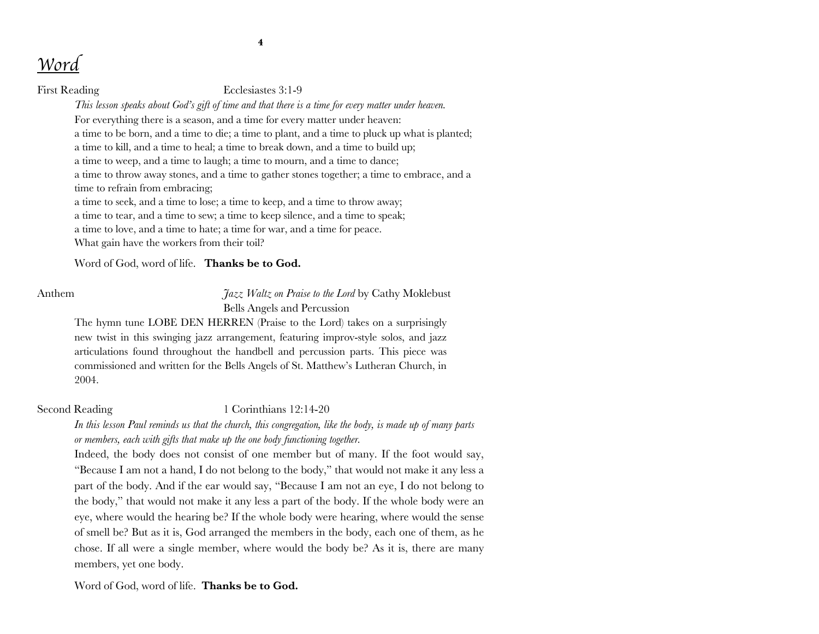### First Reading Ecclesiastes 3:1-9

*This lesson speaks about God's gift of time and that there is a time for every matter under heaven.*

For everything there is a season, and a time for every matter under heaven: a time to be born, and a time to die; a time to plant, and a time to pluck up what is planted; a time to kill, and a time to heal; a time to break down, and a time to build up; a time to weep, and a time to laugh; a time to mourn, and a time to dance; a time to throw away stones, and a time to gather stones together; a time to embrace, and a time to refrain from embracing;

a time to seek, and a time to lose; a time to keep, and a time to throw away; a time to tear, and a time to sew; a time to keep silence, and a time to speak; a time to love, and a time to hate; a time for war, and a time for peace. What gain have the workers from their toil?

Word of God, word of life. **Thanks be to God.**

Anthem *Jazz Waltz on Praise to the Lord* by Cathy Moklebust Bells Angels and Percussion

The hymn tune LOBE DEN HERREN (Praise to the Lord) takes on a surprisingly new twist in this swinging jazz arrangement, featuring improv-style solos, and jazz articulations found throughout the handbell and percussion parts. This piece was commissioned and written for the Bells Angels of St. Matthew's Lutheran Church, in 2004.

Second Reading 1 Corinthians 12:14-20

*In this lesson Paul reminds us that the church, this congregation, like the body, is made up of many parts or members, each with gifts that make up the one body functioning together.*

Indeed, the body does not consist of one member but of many. If the foot would say, "Because I am not a hand, I do not belong to the body," that would not make it any less a part of the body. And if the ear would say, "Because I am not an eye, I do not belong to the body," that would not make it any less a part of the body. If the whole body were an eye, where would the hearing be? If the whole body were hearing, where would the sense of smell be? But as it is, God arranged the members in the body, each one of them, as he chose. If all were a single member, where would the body be? As it is, there are many members, yet one body.

Word of God, word of life. **Thanks be to God.**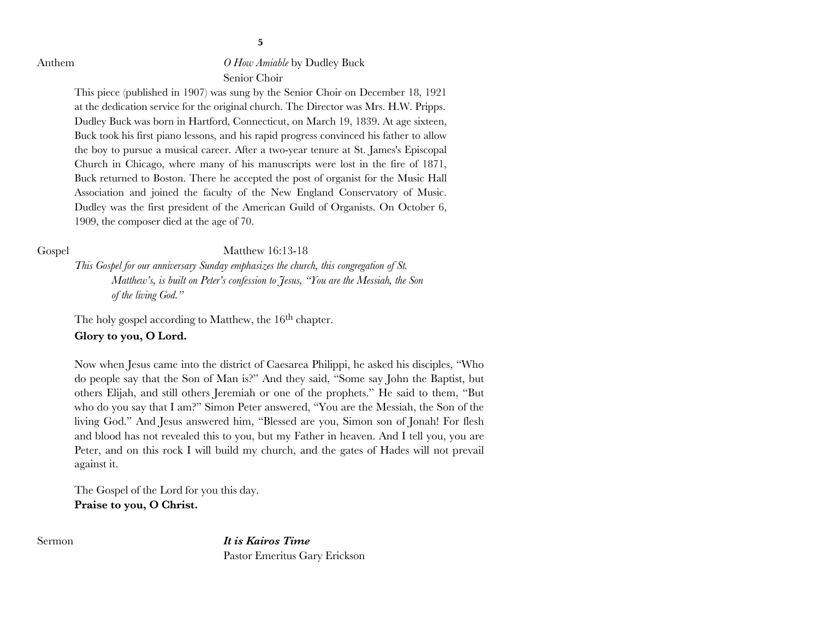Anthem *O How Amiable* by Dudley Buck Senior Choir

> This piece (published in 1907) was sung by the Senior Choir on December 18, 1921 at the dedication service for the original church. The Director was Mrs. H.W. Pripps. Dudley Buck was born in Hartford, Connecticut, on March 19, 1839. At age sixteen, Buck took his first piano lessons, and his rapid progress convinced his father to allow the boy to pursue a musical career. After a two-year tenure at St. James's Episcopal Church in Chicago, where many of his manuscripts were lost in the fire of 1871, Buck returned to Boston. There he accepted the post of organist for the Music Hall Association and joined the faculty of the New England Conservatory of Music. Dudley was the first president of the American Guild of Organists. On October 6, 1909, the composer died at the age of 70.

Gospel Matthew 16:13-18

*This Gospel for our anniversary Sunday emphasizes the church, this congregation of St. Matthew's, is built on Peter's confession to Jesus, "You are the Messiah, the Son of the living God."*

The holy gospel according to Matthew, the 16<sup>th</sup> chapter.

### **Glory to you, O Lord.**

Now when Jesus came into the district of Caesarea Philippi, he asked his disciples, "Who do people say that the Son of Man is?" And they said, "Some say John the Baptist, but others Elijah, and still others Jeremiah or one of the prophets." He said to them, "But who do you say that I am?" Simon Peter answered, "You are the Messiah, the Son of the living God." And Jesus answered him, "Blessed are you, Simon son of Jonah! For flesh and blood has not revealed this to you, but my Father in heaven. And I tell you, you are Peter, and on this rock I will build my church, and the gates of Hades will not prevail against it.

The Gospel of the Lord for you this day. **Praise to you, O Christ.**

Sermon *It is Kairos Time* Pastor Emeritus Gary Erickson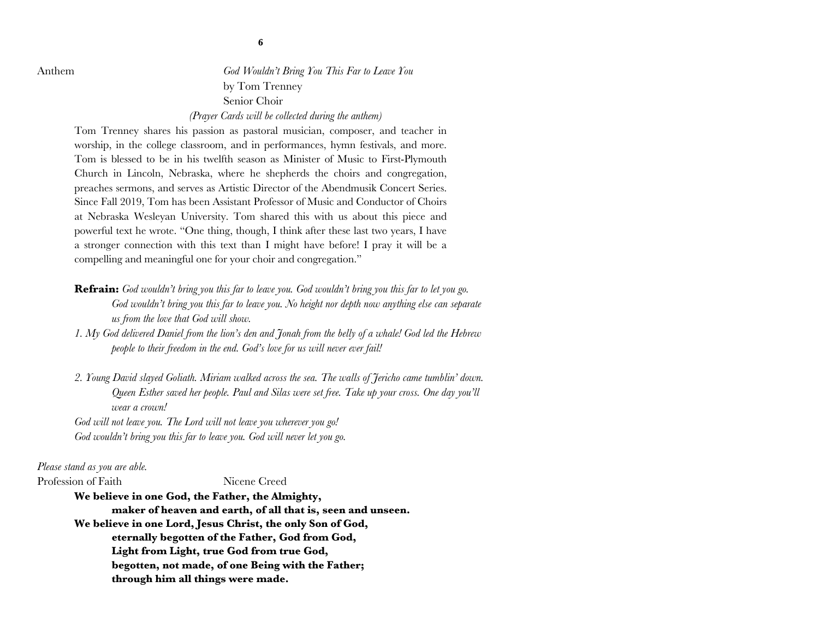Anthem *God Wouldn't Bring You This Far to Leave You* by Tom Trenney Senior Choir

*(Prayer Cards will be collected during the anthem)*

Tom Trenney shares his passion as pastoral musician, composer, and teacher in worship, in the college classroom, and in performances, hymn festivals, and more. Tom is blessed to be in his twelfth season as Minister of Music to First-Plymouth Church in Lincoln, Nebraska, where he shepherds the choirs and congregation, preaches sermons, and serves as Artistic Director of the Abendmusik Concert Series. Since Fall 2019, Tom has been Assistant Professor of Music and Conductor of Choirs at Nebraska Wesleyan University. Tom shared this with us about this piece and powerful text he wrote. "One thing, though, I think after these last two years, I have a stronger connection with this text than I might have before! I pray it will be a compelling and meaningful one for your choir and congregation."

- **Refrain:** *God wouldn't bring you this far to leave you. God wouldn't bring you this far to let you go. God wouldn't bring you this far to leave you. No height nor depth now anything else can separate us from the love that God will show.*
- *1. My God delivered Daniel from the lion's den and Jonah from the belly of a whale! God led the Hebrew people to their freedom in the end. God's love for us will never ever fail!*
- *2. Young David slayed Goliath. Miriam walked across the sea. The walls of Jericho came tumblin' down. Queen Esther saved her people. Paul and Silas were set free. Take up your cross. One day you'll wear a crown!*

*God will not leave you. The Lord will not leave you wherever you go! God wouldn't bring you this far to leave you. God will never let you go.*

*Please stand as you are able.*

Profession of Faith Nicene Creed

**We believe in one God, the Father, the Almighty, maker of heaven and earth, of all that is, seen and unseen. We believe in one Lord, Jesus Christ, the only Son of God, eternally begotten of the Father, God from God, Light from Light, true God from true God, begotten, not made, of one Being with the Father; through him all things were made.**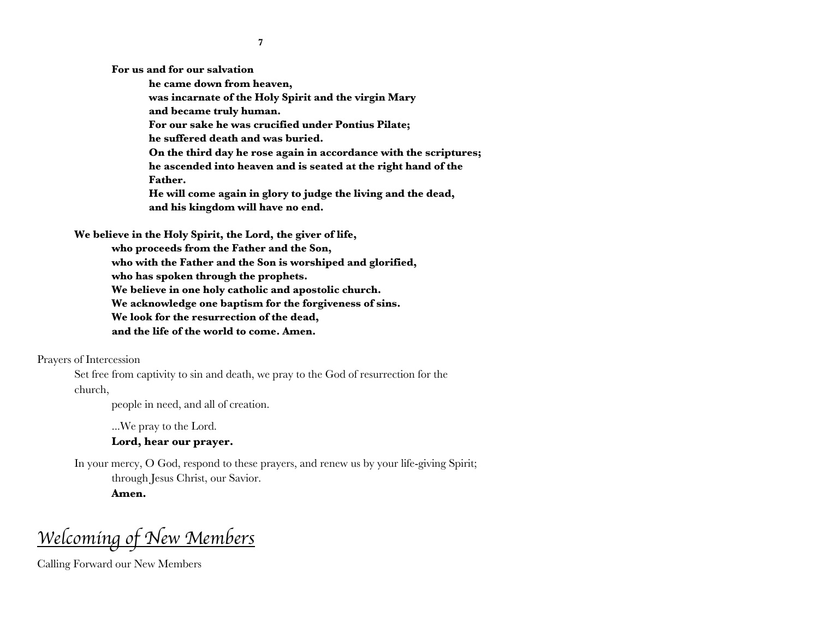**For us and for our salvation** 

**he came down from heaven, was incarnate of the Holy Spirit and the virgin Mary and became truly human. For our sake he was crucified under Pontius Pilate; he suffered death and was buried. On the third day he rose again in accordance with the scriptures; he ascended into heaven and is seated at the right hand of the Father. He will come again in glory to judge the living and the dead, and his kingdom will have no end.**

**We believe in the Holy Spirit, the Lord, the giver of life, who proceeds from the Father and the Son, who with the Father and the Son is worshiped and glorified, who has spoken through the prophets. We believe in one holy catholic and apostolic church. We acknowledge one baptism for the forgiveness of sins. We look for the resurrection of the dead, and the life of the world to come. Amen.**

Prayers of Intercession

Set free from captivity to sin and death, we pray to the God of resurrection for the church,

people in need, and all of creation.

...We pray to the Lord.

### **Lord, hear our prayer.**

In your mercy, O God, respond to these prayers, and renew us by your life-giving Spirit; through Jesus Christ, our Savior.

**Amen.**

*Welcoming of New Members*

Calling Forward our New Members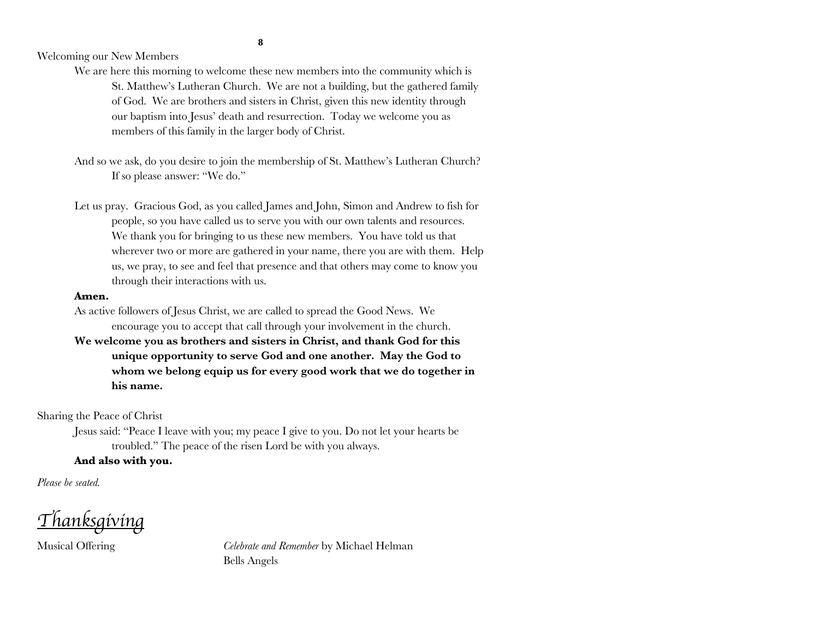Welcoming our New Members

We are here this morning to welcome these new members into the community which is St. Matthew's Lutheran Church. We are not a building, but the gathered family of God. We are brothers and sisters in Christ, given this new identity through our baptism into Jesus' death and resurrection. Today we welcome you as members of this family in the larger body of Christ.

And so we ask, do you desire to join the membership of St. Matthew's Lutheran Church? If so please answer: "We do."

Let us pray. Gracious God, as you called James and John, Simon and Andrew to fish for people, so you have called us to serve you with our own talents and resources. We thank you for bringing to us these new members. You have told us that wherever two or more are gathered in your name, there you are with them. Help us, we pray, to see and feel that presence and that others may come to know you through their interactions with us.

### **Amen.**

As active followers of Jesus Christ, we are called to spread the Good News. We encourage you to accept that call through your involvement in the church.

**We welcome you as brothers and sisters in Christ, and thank God for this unique opportunity to serve God and one another. May the God to whom we belong equip us for every good work that we do together in his name.**

Sharing the Peace of Christ

Jesus said: "Peace I leave with you; my peace I give to you. Do not let your hearts be troubled." The peace of the risen Lord be with you always.

### **And also with you.**

*Please be seated.*

*Thanksgiving*

Musical Offering *Celebrate and Remember* by Michael Helman Bells Angels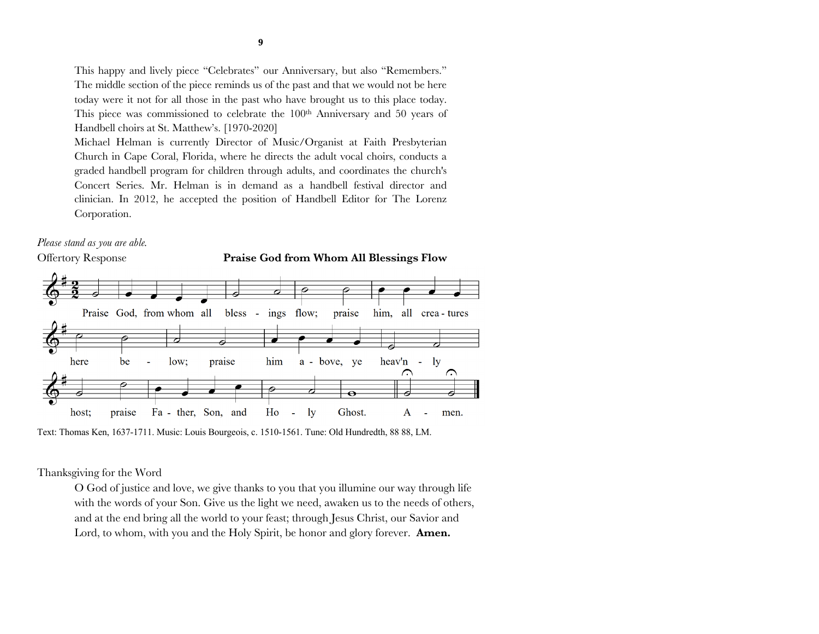This happy and lively piece "Celebrates" our Anniversary, but also "Remembers." The middle section of the piece reminds us of the past and that we would not be here today were it not for all those in the past who have brought us to this place today. This piece was commissioned to celebrate the 100<sup>th</sup> Anniversary and 50 years of Handbell choirs at St. Matthew's. [1970-2020]

Michael Helman is currently Director of Music/Organist at Faith Presbyterian Church in Cape Coral, Florida, where he directs the adult vocal choirs, conducts a graded handbell program for children through adults, and coordinates the church's Concert Series. Mr. Helman is in demand as a handbell festival director and clinician. In 2012, he accepted the position of Handbell Editor for The Lorenz Corporation.

# *Please stand as you are able.*







Text: Thomas Ken, 1637-1711. Music: Louis Bourgeois, c. 1510-1561. Tune: Old Hundredth, 88 88, LM.

### Thanksgiving for the Word

O God of justice and love, we give thanks to you that you illumine our way through life with the words of your Son. Give us the light we need, awaken us to the needs of others, and at the end bring all the world to your feast; through Jesus Christ, our Savior and Lord, to whom, with you and the Holy Spirit, be honor and glory forever. **Amen.**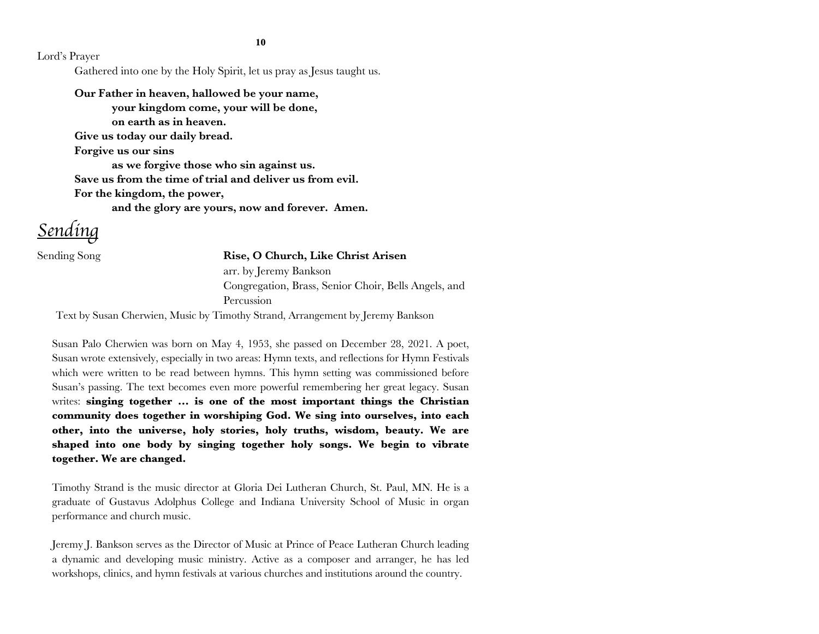**10**

Lord's Prayer

Gathered into one by the Holy Spirit, let us pray as Jesus taught us.

**Our Father in heaven, hallowed be your name, your kingdom come, your will be done, on earth as in heaven. Give us today our daily bread. Forgive us our sins as we forgive those who sin against us. Save us from the time of trial and deliver us from evil. For the kingdom, the power,** 

**and the glory are yours, now and forever. Amen.**

*Sending*

### Sending Song **Rise, O Church, Like Christ Arisen**

arr. by Jeremy Bankson Congregation, Brass, Senior Choir, Bells Angels, and **Percussion** 

Text by Susan Cherwien, Music by Timothy Strand, Arrangement by Jeremy Bankson

Susan Palo Cherwien was born on May 4, 1953, she passed on December 28, 2021. A poet, Susan wrote extensively, especially in two areas: Hymn texts, and reflections for Hymn Festivals which were written to be read between hymns. This hymn setting was commissioned before Susan's passing. The text becomes even more powerful remembering her great legacy. Susan writes: **singing together ... is one of the most important things the Christian community does together in worshiping God. We sing into ourselves, into each other, into the universe, holy stories, holy truths, wisdom, beauty. We are shaped into one body by singing together holy songs. We begin to vibrate together. We are changed.**

Timothy Strand is the music director at Gloria Dei Lutheran Church, St. Paul, MN. He is a graduate of Gustavus Adolphus College and Indiana University School of Music in organ performance and church music.

Jeremy J. Bankson serves as the Director of Music at Prince of Peace Lutheran Church leading a dynamic and developing music ministry. Active as a composer and arranger, he has led workshops, clinics, and hymn festivals at various churches and institutions around the country.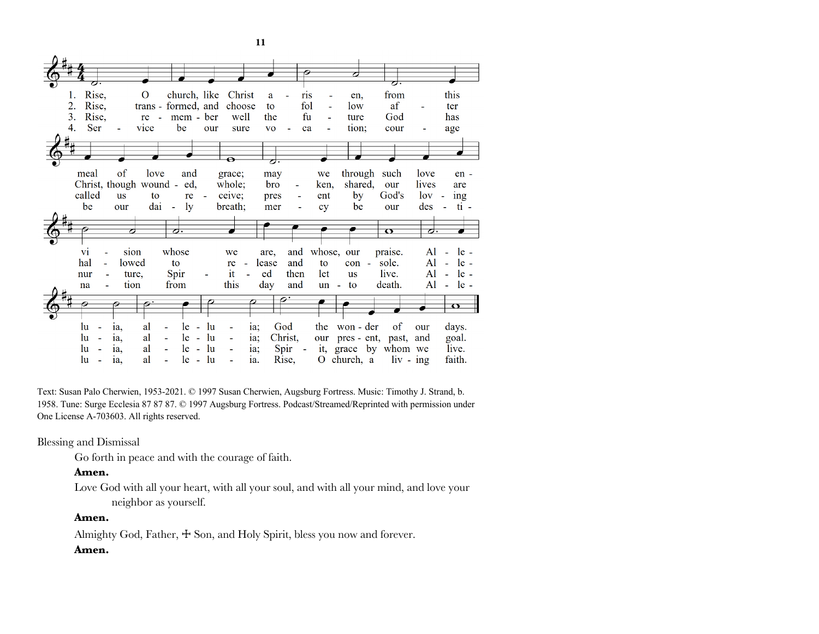

Text: Susan Palo Cherwien, 1953-2021. © 1997 Susan Cherwien, Augsburg Fortress. Music: Timothy J. Strand, b. 1958. Tune: Surge Ecclesia 87 87 87. © 1997 Augsburg Fortress. Podcast/Streamed/Reprinted with permission under One License A-703603. All rights reserved.

Blessing and Dismissal

Go forth in peace and with the courage of faith.

### **Amen.**

Love God with all your heart, with all your soul, and with all your mind, and love your neighbor as yourself.

### **Amen.**

Almighty God, Father,  $\pm$  Son, and Holy Spirit, bless you now and forever.

### **Amen.**

**11**